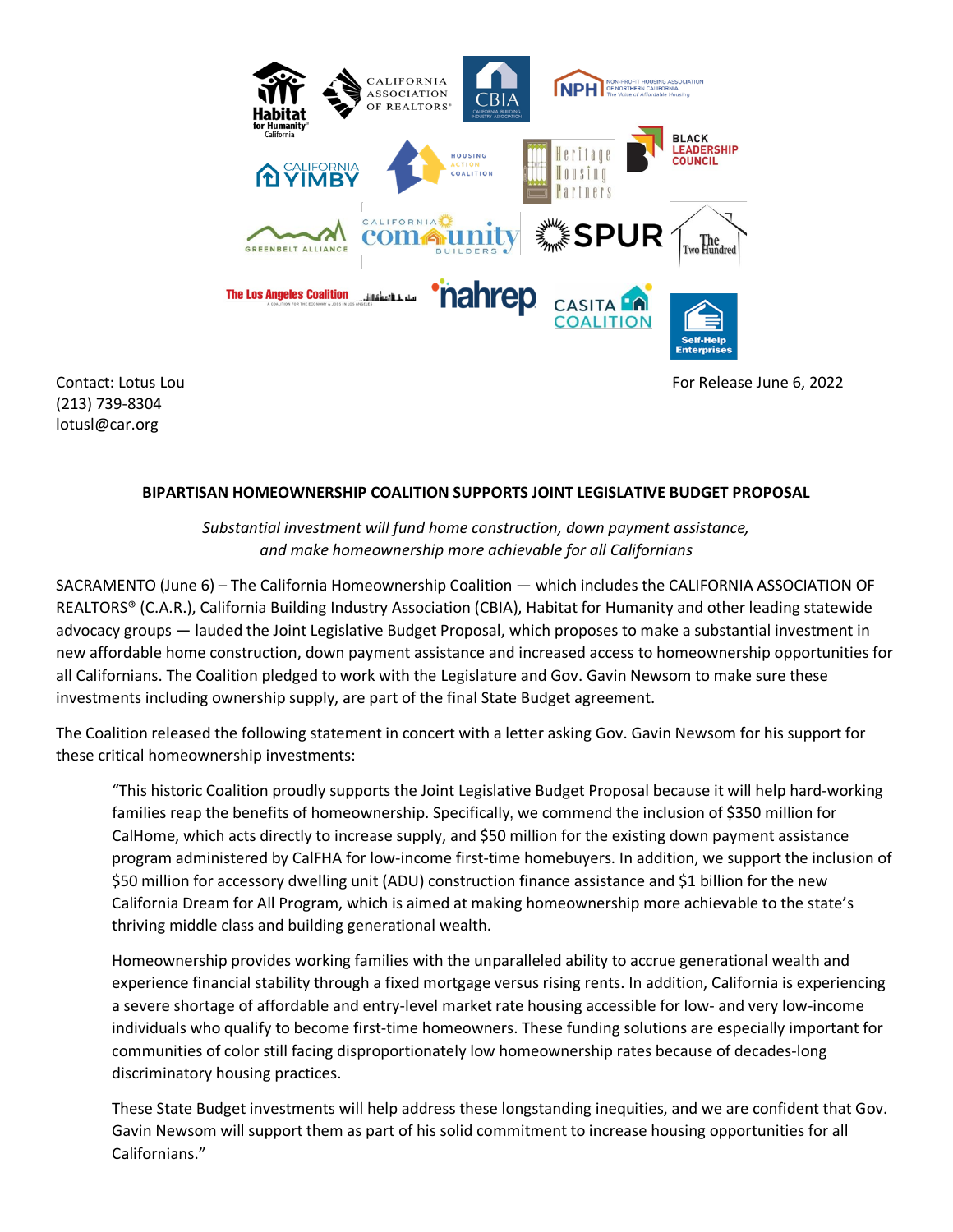

(213) 739-8304 lotusl@car.org

Contact: Lotus Lou Formula Contact: Lotus Lou Formula Contact: Lotus Lou Formula Contact: Lotus Lou Formula Contact: Lotus Lou Formula Contact: Lotus Lou Formula Contact: Lotus Lou Formula Contact: Lotus Lou Formula Contac

## **BIPARTISAN HOMEOWNERSHIP COALITION SUPPORTS JOINT LEGISLATIVE BUDGET PROPOSAL**

*Substantial investment will fund home construction, down payment assistance, and make homeownership more achievable for all Californians*

SACRAMENTO (June 6) – The California Homeownership Coalition — which includes the CALIFORNIA ASSOCIATION OF REALTORS® (C.A.R.), California Building Industry Association (CBIA), Habitat for Humanity and other leading statewide advocacy groups — lauded the Joint Legislative Budget Proposal, which proposes to make a substantial investment in new affordable home construction, down payment assistance and increased access to homeownership opportunities for all Californians. The Coalition pledged to work with the Legislature and Gov. Gavin Newsom to make sure these investments including ownership supply, are part of the final State Budget agreement.

The Coalition released the following statement in concert with a letter asking Gov. Gavin Newsom for his support for these critical homeownership investments:

"This historic Coalition proudly supports the Joint Legislative Budget Proposal because it will help hard-working families reap the benefits of homeownership. Specifically, we commend the inclusion of \$350 million for CalHome, which acts directly to increase supply, and \$50 million for the existing down payment assistance program administered by CalFHA for low-income first-time homebuyers. In addition, we support the inclusion of \$50 million for accessory dwelling unit (ADU) construction finance assistance and \$1 billion for the new California Dream for All Program, which is aimed at making homeownership more achievable to the state's thriving middle class and building generational wealth.

Homeownership provides working families with the unparalleled ability to accrue generational wealth and experience financial stability through a fixed mortgage versus rising rents. In addition, California is experiencing a severe shortage of affordable and entry-level market rate housing accessible for low- and very low-income individuals who qualify to become first-time homeowners. These funding solutions are especially important for communities of color still facing disproportionately low homeownership rates because of decades-long discriminatory housing practices.

These State Budget investments will help address these longstanding inequities, and we are confident that Gov. Gavin Newsom will support them as part of his solid commitment to increase housing opportunities for all Californians."